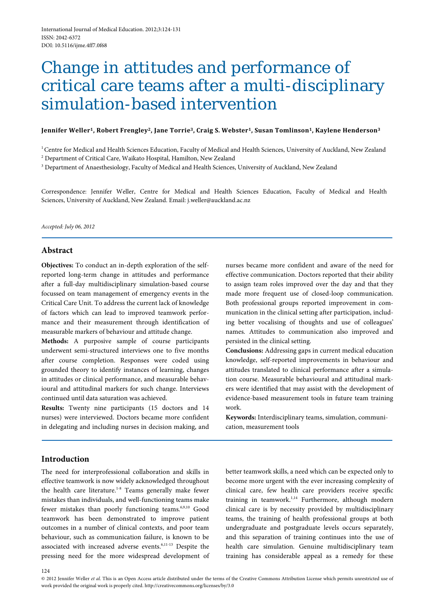# Change in attitudes and performance of critical care teams after a multi-disciplinary simulation-based intervention

**Jennifer Weller1, Robert Frengley2, Jane Torrie3, Craig S. Webster1, Susan Tomlinson1, Kaylene Henderson3**

<sup>1</sup> Centre for Medical and Health Sciences Education, Faculty of Medical and Health Sciences, University of Auckland, New Zealand

<sup>2</sup> Department of Critical Care, Waikato Hospital, Hamilton, New Zealand

<sup>3</sup> Department of Anaesthesiology, Faculty of Medical and Health Sciences, University of Auckland, New Zealand

Correspondence: Jennifer Weller, Centre for Medical and Health Sciences Education, Faculty of Medical and Health Sciences, University of Auckland, New Zealand. Email: j.weller@auckland.ac.nz

*Accepted: July 06, 2012*

## **Abstract**

**Objectives:** To conduct an in-depth exploration of the selfreported long-term change in attitudes and performance after a full-day multidisciplinary simulation-based course focussed on team management of emergency events in the Critical Care Unit. To address the current lack of knowledge of factors which can lead to improved teamwork performance and their measurement through identification of measurable markers of behaviour and attitude change.

**Methods:** A purposive sample of course participants underwent semi-structured interviews one to five months after course completion. Responses were coded using grounded theory to identify instances of learning, changes in attitudes or clinical performance, and measurable behavioural and attitudinal markers for such change. Interviews continued until data saturation was achieved.

**Results:** Twenty nine participants (15 doctors and 14 nurses) were interviewed. Doctors became more confident in delegating and including nurses in decision making, and nurses became more confident and aware of the need for effective communication. Doctors reported that their ability to assign team roles improved over the day and that they made more frequent use of closed-loop communication. Both professional groups reported improvement in communication in the clinical setting after participation, including better vocalising of thoughts and use of colleagues' names. Attitudes to communication also improved and persisted in the clinical setting.

**Conclusions:** Addressing gaps in current medical education knowledge, self-reported improvements in behaviour and attitudes translated to clinical performance after a simulation course. Measurable behavioural and attitudinal markers were identified that may assist with the development of evidence-based measurement tools in future team training work.

**Keywords:** Interdisciplinary teams, simulation, communication, measurement tools

# **Introduction**

The need for interprofessional collaboration and skills in effective teamwork is now widely acknowledged throughout the health care literature.<sup>1-8</sup> Teams generally make fewer mistakes than individuals, and well-functioning teams make fewer mistakes than poorly functioning teams.<sup>6,9,10</sup> Good teamwork has been demonstrated to improve patient outcomes in a number of clinical contexts, and poor team behaviour, such as communication failure, is known to be associated with increased adverse events.<sup>6,11-13</sup> Despite the pressing need for the more widespread development of better teamwork skills, a need which can be expected only to become more urgent with the ever increasing complexity of clinical care, few health care providers receive specific training in teamwork.<sup>1,14</sup> Furthermore, although modern clinical care is by necessity provided by multidisciplinary teams, the training of health professional groups at both undergraduate and postgraduate levels occurs separately, and this separation of training continues into the use of health care simulation. Genuine multidisciplinary team training has considerable appeal as a remedy for these

© 2012 Jennifer Weller *et al*. This is an Open Access article distributed under the terms of the Creative Commons Attribution License which permits unrestricted use of work provided the original work is properly cited. http://creativecommons.org/licenses/by/3.0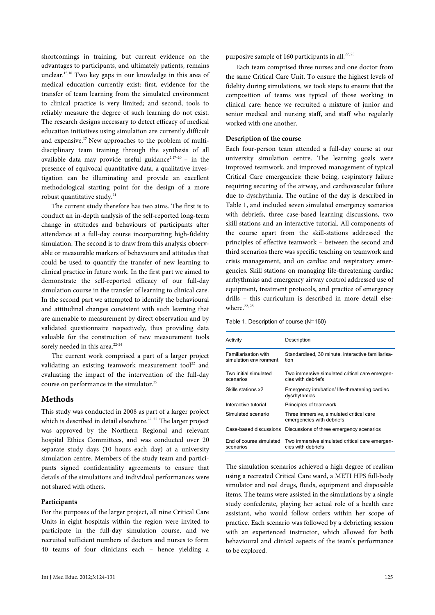shortcomings in training, but current evidence on the advantages to participants, and ultimately patients, remains unclear.15,16 Two key gaps in our knowledge in this area of medical education currently exist: first, evidence for the transfer of team learning from the simulated environment to clinical practice is very limited; and second, tools to reliably measure the degree of such learning do not exist. The research designs necessary to detect efficacy of medical education initiatives using simulation are currently difficult and expensive.<sup>17</sup> New approaches to the problem of multidisciplinary team training through the synthesis of all available data may provide useful guidance<sup>2,17-20</sup> - in the presence of equivocal quantitative data, a qualitative investigation can be illuminating and provide an excellent methodological starting point for the design of a more robust quantitative study.<sup>21</sup>

The current study therefore has two aims. The first is to conduct an in-depth analysis of the self-reported long-term change in attitudes and behaviours of participants after attendance at a full-day course incorporating high-fidelity simulation. The second is to draw from this analysis observable or measurable markers of behaviours and attitudes that could be used to quantify the transfer of new learning to clinical practice in future work. In the first part we aimed to demonstrate the self-reported efficacy of our full-day simulation course in the transfer of learning to clinical care. In the second part we attempted to identify the behavioural and attitudinal changes consistent with such learning that are amenable to measurement by direct observation and by validated questionnaire respectively, thus providing data valuable for the construction of new measurement tools sorely needed in this area.<sup>22-24</sup>

The current work comprised a part of a larger project validating an existing teamwork measurement tool<sup>22</sup> and evaluating the impact of the intervention of the full-day course on performance in the simulator.<sup>25</sup>

## **Methods**

This study was conducted in 2008 as part of a larger project which is described in detail elsewhere.<sup>22, 25</sup> The larger project was approved by the Northern Regional and relevant hospital Ethics Committees, and was conducted over 20 separate study days (10 hours each day) at a university simulation centre. Members of the study team and participants signed confidentiality agreements to ensure that details of the simulations and individual performances were not shared with others.

## **Participants**

For the purposes of the larger project, all nine Critical Care Units in eight hospitals within the region were invited to participate in the full-day simulation course, and we recruited sufficient numbers of doctors and nurses to form 40 teams of four clinicians each – hence yielding a purposive sample of 160 participants in all.<sup>22, 25</sup>

Each team comprised three nurses and one doctor from the same Critical Care Unit. To ensure the highest levels of fidelity during simulations, we took steps to ensure that the composition of teams was typical of those working in clinical care: hence we recruited a mixture of junior and senior medical and nursing staff, and staff who regularly worked with one another.

#### **Description of the course**

Each four-person team attended a full-day course at our university simulation centre. The learning goals were improved teamwork, and improved management of typical Critical Care emergencies: these being, respiratory failure requiring securing of the airway, and cardiovascular failure due to dysrhythmia. The outline of the day is described in Table 1, and included seven simulated emergency scenarios with debriefs, three case-based learning discussions, two skill stations and an interactive tutorial. All components of the course apart from the skill-stations addressed the principles of effective teamwork – between the second and third scenarios there was specific teaching on teamwork and crisis management, and on cardiac and respiratory emergencies. Skill stations on managing life-threatening cardiac arrhythmias and emergency airway control addressed use of equipment, treatment protocols, and practice of emergency drills – this curriculum is described in more detail elsewhere. $22, 25$ 

Table 1. Description of course (N=160)

| Activity                                       | Description                                                                                  |
|------------------------------------------------|----------------------------------------------------------------------------------------------|
| Familiarisation with<br>simulation environment | Standardised, 30 minute, interactive familiarisa-<br>tion                                    |
| Two initial simulated<br>scenarios             | Two immersive simulated critical care emergen-<br>cies with debriefs                         |
| Skills stations x2                             | Emergency intubation/ life-threatening cardiac<br>dysrhythmias                               |
| Interactive tutorial                           | Principles of teamwork                                                                       |
| Simulated scenario                             | Three immersive, simulated critical care<br>emergencies with debriefs                        |
|                                                | Case-based discussions Discussions of three emergency scenarios                              |
| scenarios                                      | End of course simulated Two immersive simulated critical care emergen-<br>cies with debriefs |

The simulation scenarios achieved a high degree of realism using a recreated Critical Care ward, a METI HPS full-body simulator and real drugs, fluids, equipment and disposable items. The teams were assisted in the simulations by a single study confederate, playing her actual role of a health care assistant, who would follow orders within her scope of practice. Each scenario was followed by a debriefing session with an experienced instructor, which allowed for both behavioural and clinical aspects of the team's performance to be explored.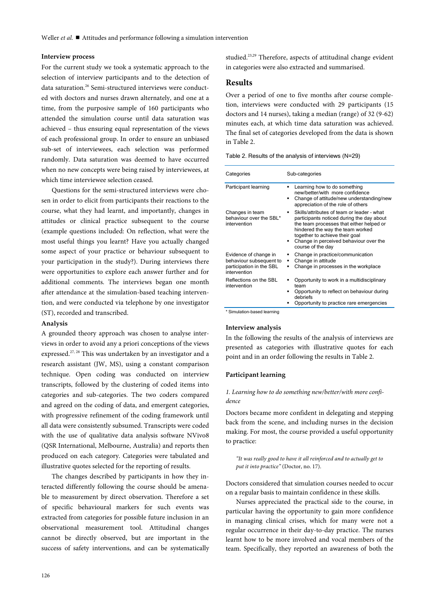## **Interview process**

For the current study we took a systematic approach to the selection of interview participants and to the detection of data saturation.<sup>26</sup> Semi-structured interviews were conducted with doctors and nurses drawn alternately, and one at a time, from the purposive sample of 160 participants who attended the simulation course until data saturation was achieved – thus ensuring equal representation of the views of each professional group. In order to ensure an unbiased sub-set of interviewees, each selection was performed randomly. Data saturation was deemed to have occurred when no new concepts were being raised by interviewees, at which time interviewee selection ceased.

Questions for the semi-structured interviews were chosen in order to elicit from participants their reactions to the course, what they had learnt, and importantly, changes in attitudes or clinical practice subsequent to the course (example questions included: On reflection, what were the most useful things you learnt? Have you actually changed some aspect of your practice or behaviour subsequent to your participation in the study?). During interviews there were opportunities to explore each answer further and for additional comments. The interviews began one month after attendance at the simulation-based teaching intervention, and were conducted via telephone by one investigator (ST), recorded and transcribed.

## **Analysis**

A grounded theory approach was chosen to analyse interviews in order to avoid any a priori conceptions of the views expressed.<sup>27, 28</sup> This was undertaken by an investigator and a research assistant (JW, MS), using a constant comparison technique. Open coding was conducted on interview transcripts, followed by the clustering of coded items into categories and sub-categories. The two coders compared and agreed on the coding of data, and emergent categories, with progressive refinement of the coding framework until all data were consistently subsumed. Transcripts were coded with the use of qualitative data analysis software NVivo8 (QSR International, Melbourne, Australia) and reports then produced on each category. Categories were tabulated and illustrative quotes selected for the reporting of results.

The changes described by participants in how they interacted differently following the course should be amenable to measurement by direct observation. Therefore a set of specific behavioural markers for such events was extracted from categories for possible future inclusion in an observational measurement tool. Attitudinal changes cannot be directly observed, but are important in the success of safety interventions, and can be systematically

studied.23,29 Therefore, aspects of attitudinal change evident in categories were also extracted and summarised.

## **Results**

Over a period of one to five months after course completion, interviews were conducted with 29 participants (15 doctors and 14 nurses), taking a median (range) of 32 (9-62) minutes each, at which time data saturation was achieved. The final set of categories developed from the data is shown in Table 2.

Table 2. Results of the analysis of interviews (N=29)

| Categories                                                                                   | Sub-categories                                                                                                                                                                                                                                                                |
|----------------------------------------------------------------------------------------------|-------------------------------------------------------------------------------------------------------------------------------------------------------------------------------------------------------------------------------------------------------------------------------|
| Participant learning                                                                         | Learning how to do something<br>new/better/with more confidence<br>Change of attitude/new understanding/new<br>appreciation of the role of others                                                                                                                             |
| Changes in team<br>behaviour over the SBL*<br>intervention                                   | Skills/attributes of team or leader - what<br>participants noticed during the day about<br>the team processes that either helped or<br>hindered the way the team worked<br>together to achieve their goal<br>Change in perceived behaviour over the<br>٠<br>course of the day |
| Evidence of change in<br>behaviour subsequent to<br>participation in the SBL<br>intervention | Change in practice/communication<br>Change in attitude<br>٠<br>Change in processes in the workplace<br>▪                                                                                                                                                                      |
| Reflections on the SBL<br>intervention                                                       | Opportunity to work in a multidisciplinary<br>team<br>Opportunity to reflect on behaviour during<br>debriefs<br>Opportunity to practice rare emergencies                                                                                                                      |

\* Simulation-based learning

#### **Interview analysis**

In the following the results of the analysis of interviews are presented as categories with illustrative quotes for each point and in an order following the results in Table 2.

## **Participant learning**

## *1. Learning how to do something new/better/with more confidence*

Doctors became more confident in delegating and stepping back from the scene, and including nurses in the decision making. For most, the course provided a useful opportunity to practice:

*"It was really good to have it all reinforced and to actually get to put it into practice"* (Doctor, no. 17).

Doctors considered that simulation courses needed to occur on a regular basis to maintain confidence in these skills.

Nurses appreciated the practical side to the course, in particular having the opportunity to gain more confidence in managing clinical crises, which for many were not a regular occurrence in their day-to-day practice. The nurses learnt how to be more involved and vocal members of the team. Specifically, they reported an awareness of both the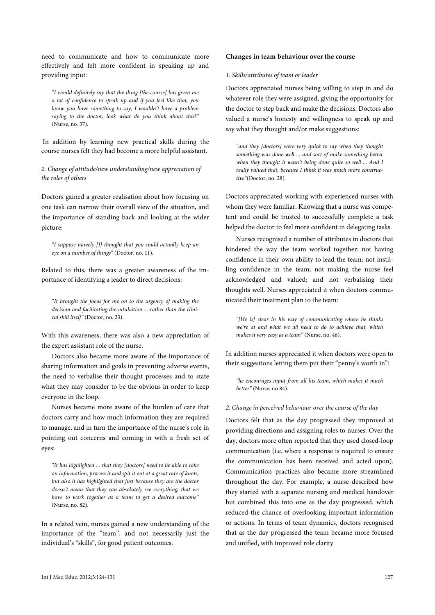need to communicate and how to communicate more effectively and felt more confident in speaking up and providing input:

*"I would definitely say that the thing [the course] has given me a lot of confidence to speak up and if you feel like that, you know you have something to say, I wouldn't have a problem saying to the doctor, look what do you think about this?"*  (Nurse, no. 37).

In addition by learning new practical skills during the course nurses felt they had become a more helpful assistant.

*2. Change of attitude/new understanding/new appreciation of the roles of others*

Doctors gained a greater realisation about how focusing on one task can narrow their overall view of the situation, and the importance of standing back and looking at the wider picture:

*"I suppose naively [I] thought that you could actually keep an eye on a number of things"* (Doctor, no. 11)*.* 

Related to this, there was a greater awareness of the importance of identifying a leader to direct decisions:

*"It brought the focus for me on to the urgency of making the decision and facilitating the intubation ... rather than the clinical skill itself"* (Doctor, no. 23).

With this awareness, there was also a new appreciation of the expert assistant role of the nurse.

Doctors also became more aware of the importance of sharing information and goals in preventing adverse events, the need to verbalise their thought processes and to state what they may consider to be the obvious in order to keep everyone in the loop.

Nurses became more aware of the burden of care that doctors carry and how much information they are required to manage, and in turn the importance of the nurse's role in pointing out concerns and coming in with a fresh set of eyes:

*"It has highlighted ... that they [doctors] need to be able to take on information, process it and spit it out at a great rate of knots, but also it has highlighted that just because they are the doctor doesn't mean that they can absolutely see everything, that we have to work together as a team to get a desired outcome"*  (Nurse, no. 82).

In a related vein, nurses gained a new understanding of the importance of the "team", and not necessarily just the individual's "skills", for good patient outcomes.

#### **Changes in team behaviour over the course**

## *1. Skills/attributes of team or leader*

Doctors appreciated nurses being willing to step in and do whatever role they were assigned, giving the opportunity for the doctor to step back and make the decisions. Doctors also valued a nurse's honesty and willingness to speak up and say what they thought and/or make suggestions:

*"and they [doctors] were very quick to say when they thought something was done well ... and sort of make something better when they thought it wasn't being done quite so well ... And I really valued that, because I think it was much more constructive"*(Doctor, no. 28).

Doctors appreciated working with experienced nurses with whom they were familiar. Knowing that a nurse was competent and could be trusted to successfully complete a task helped the doctor to feel more confident in delegating tasks.

Nurses recognised a number of attributes in doctors that hindered the way the team worked together: not having confidence in their own ability to lead the team; not instilling confidence in the team; not making the nurse feel acknowledged and valued; and not verbalising their thoughts well. Nurses appreciated it when doctors communicated their treatment plan to the team:

*"[He is] clear in his way of communicating where he thinks we're at and what we all need to do to achieve that, which makes it very easy as a team"* (Nurse, no. 46).

In addition nurses appreciated it when doctors were open to their suggestions letting them put their "penny's worth in":

*"he encourages input from all his team, which makes it much better"* (Nurse, no 84).

#### *2. Change in perceived behaviour over the course of the day*

Doctors felt that as the day progressed they improved at providing directions and assigning roles to nurses. Over the day, doctors more often reported that they used closed-loop communication (i.e. where a response is required to ensure the communication has been received and acted upon). Communication practices also became more streamlined throughout the day. For example, a nurse described how they started with a separate nursing and medical handover but combined this into one as the day progressed, which reduced the chance of overlooking important information or actions. In terms of team dynamics, doctors recognised that as the day progressed the team became more focused and unified, with improved role clarity.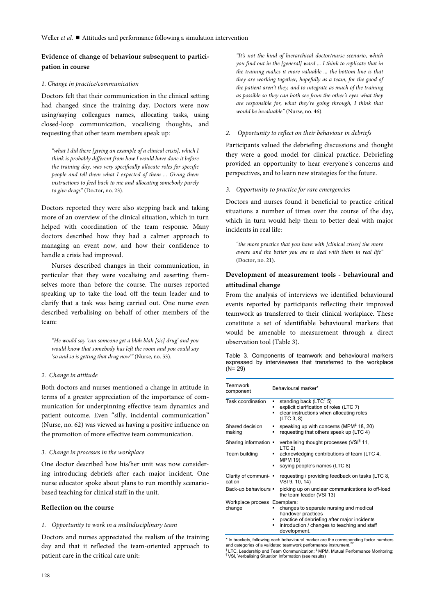# **Evidence of change of behaviour subsequent to participation in course**

#### *1. Change in practice/communication*

Doctors felt that their communication in the clinical setting had changed since the training day. Doctors were now using/saying colleagues names, allocating tasks, using closed-loop communication, vocalising thoughts, and requesting that other team members speak up:

*"what I did there [giving an example of a clinical crisis], which I think is probably different from how I would have done it before the training day, was very specifically allocate roles for specific people and tell them what I expected of them ... Giving them instructions to feed back to me and allocating somebody purely to give drugs"* (Doctor, no. 23).

Doctors reported they were also stepping back and taking more of an overview of the clinical situation, which in turn helped with coordination of the team response. Many doctors described how they had a calmer approach to managing an event now, and how their confidence to handle a crisis had improved.

Nurses described changes in their communication, in particular that they were vocalising and asserting themselves more than before the course. The nurses reported speaking up to take the load off the team leader and to clarify that a task was being carried out. One nurse even described verbalising on behalf of other members of the team:

*"He would say 'can someone get a blah blah [sic] drug' and you would know that somebody has left the room and you could say 'so and so is getting that drug now'"* (Nurse, no. 53)*.*

#### *2. Change in attitude*

Both doctors and nurses mentioned a change in attitude in terms of a greater appreciation of the importance of communication for underpinning effective team dynamics and patient outcome. Even "silly, incidental communication" (Nurse, no. 62) was viewed as having a positive influence on the promotion of more effective team communication.

#### *3. Change in processes in the workplace*

One doctor described how his/her unit was now considering introducing debriefs after each major incident. One nurse educator spoke about plans to run monthly scenariobased teaching for clinical staff in the unit.

## **Reflection on the course**

## *1. Opportunity to work in a multidisciplinary team*

Doctors and nurses appreciated the realism of the training day and that it reflected the team-oriented approach to patient care in the critical care unit:

*"It's not the kind of hierarchical doctor/nurse scenario, which you find out in the [general] ward ... I think to replicate that in the training makes it more valuable ... the bottom line is that they are working together, hopefully as a team, for the good of the patient aren't they, and to integrate as much of the training as possible so they can both see from the other's eyes what they are responsible for, what they're going through, I think that would be invaluable"* (Nurse, no. 46).

## *2. Opportunity to reflect on their behaviour in debriefs*

Participants valued the debriefing discussions and thought they were a good model for clinical practice. Debriefing provided an opportunity to hear everyone's concerns and perspectives, and to learn new strategies for the future.

## *3. Opportunity to practice for rare emergencies*

Doctors and nurses found it beneficial to practice critical situations a number of times over the course of the day, which in turn would help them to better deal with major incidents in real life:

*"the more practice that you have with [clinical crises] the more aware and the better you are to deal with them in real life"*  (Doctor, no. 21).

# **Development of measurement tools - behavioural and attitudinal change**

From the analysis of interviews we identified behavioural events reported by participants reflecting their improved teamwork as transferred to their clinical workplace. These constitute a set of identifiable behavioural markers that would be amenable to measurement through a direct observation tool (Table 3).

Table 3. Components of teamwork and behavioural markers expressed by interviewees that transferred to the workplace (N= 29)

| Teamwork<br>component         | Behavioural marker*                                                                                                                                                                     |  |
|-------------------------------|-----------------------------------------------------------------------------------------------------------------------------------------------------------------------------------------|--|
| Task coordination             | standing back (LTC <sup>†</sup> 5)<br>explicit clarification of roles (LTC 7)<br>clear instructions when allocating roles<br>٠<br>(LTC <sub>3</sub> , 8)                                |  |
| Shared decision<br>making     | speaking up with concerns (MPM <sup>#</sup> 18, 20)<br>٠<br>requesting that others speak up (LTC 4)                                                                                     |  |
| Sharing information .         | verbalising thought processes (VSI <sup>1</sup> 11,<br>$LTC2$ )                                                                                                                         |  |
| Team building                 | acknowledging contributions of team (LTC 4,<br><b>MPM 19)</b><br>saying people's names (LTC 8)<br>٠                                                                                     |  |
| Clarity of communi-<br>cation | requesting / providing feedback on tasks (LTC 8,<br>VSI 9, 10, 14)                                                                                                                      |  |
| Back-up behaviours =          | picking up on unclear communications to off-load<br>the team leader (VSI 13)                                                                                                            |  |
|                               | Workplace process Exemplars:                                                                                                                                                            |  |
| change                        | changes to separate nursing and medical<br>handover practices<br>practice of debriefing after major incidents<br>٠<br>introduction / changes to teaching and staff<br>٠<br>development. |  |

 $*$  In brackets, following each behavioural marker are the corresponding factor numbers  $\frac{1}{2}$ and categories of a validated teamwork performance instrumer

<sup>†</sup> LTC, Leadership and Team Communication; ‡ MPM, Mutual Performance Monitoring; ¶ VSI, Verbalising Situation Information (see results)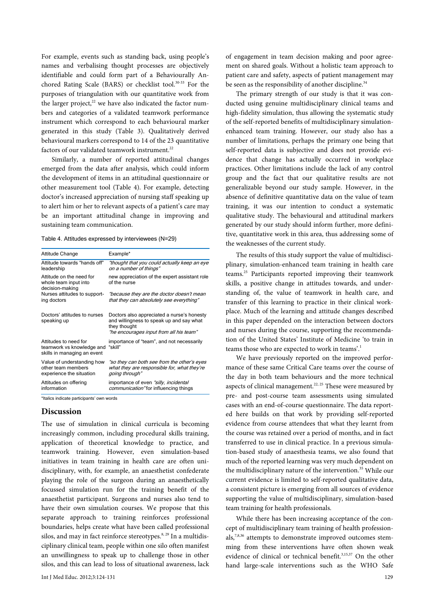For example, events such as standing back, using people's names and verbalising thought processes are objectively identifiable and could form part of a Behaviourally Anchored Rating Scale (BARS) or checklist tool.<sup>30-33</sup> For the purposes of triangulation with our quantitative work from the larger project, $22$  we have also indicated the factor numbers and categories of a validated teamwork performance instrument which correspond to each behavioural marker generated in this study (Table 3). Qualitatively derived behavioural markers correspond to 14 of the 23 quantitative factors of our validated teamwork instrument.<sup>22</sup>

Similarly, a number of reported attitudinal changes emerged from the data after analysis, which could inform the development of items in an attitudinal questionnaire or other measurement tool (Table 4). For example, detecting doctor's increased appreciation of nursing staff speaking up to alert him or her to relevant aspects of a patient's care may be an important attitudinal change in improving and sustaining team communication.

|  |  | Table 4. Attitudes expressed by interviewees (N=29) |  |
|--|--|-----------------------------------------------------|--|
|--|--|-----------------------------------------------------|--|

| Attitude Change                                                                   | Example*                                                                                                                                          |
|-----------------------------------------------------------------------------------|---------------------------------------------------------------------------------------------------------------------------------------------------|
| Attitude towards "hands off"                                                      | "thought that you could actually keep an eye                                                                                                      |
| leadership                                                                        | on a number of things"                                                                                                                            |
| Attitude on the need for<br>whole team input into<br>decision-making              | new appreciation of the expert assistant role<br>of the nurse                                                                                     |
| Nurses attitudes to support-                                                      | "because they are the doctor doesn't mean                                                                                                         |
| ing doctors                                                                       | that they can absolutely see everything"                                                                                                          |
| Doctors' attitudes to nurses<br>speaking up                                       | Doctors also appreciated a nurse's honesty<br>and willingness to speak up and say what<br>they thought<br>"he encourages input from all his team" |
| Attitudes to need for<br>teamwork vs knowledge and<br>skills in managing an event | importance of "team", and not necessarily<br>"skill"                                                                                              |
| Value of understanding how                                                        | "so they can both see from the other's eyes                                                                                                       |
| other team members                                                                | what they are responsible for, what they're                                                                                                       |
| experience the situation                                                          | <i>going through"</i>                                                                                                                             |
| Attitudes on offering                                                             | importance of even "silly, incidental                                                                                                             |
| information                                                                       | communication" for influencing things                                                                                                             |

\*Italics indicate participants' own words

## **Discussion**

The use of simulation in clinical curricula is becoming increasingly common, including procedural skills training, application of theoretical knowledge to practice, and teamwork training. However, even simulation-based initiatives in team training in health care are often unidisciplinary, with, for example, an anaesthetist confederate playing the role of the surgeon during an anaesthetically focussed simulation run for the training benefit of the anaesthetist participant. Surgeons and nurses also tend to have their own simulation courses. We propose that this separate approach to training reinforces professional boundaries, helps create what have been called professional silos, and may in fact reinforce stereotypes.<sup>8, 29</sup> In a multidisciplinary clinical team, people within one silo often manifest an unwillingness to speak up to challenge those in other silos, and this can lead to loss of situational awareness, lack of engagement in team decision making and poor agreement on shared goals. Without a holistic team approach to patient care and safety, aspects of patient management may be seen as the responsibility of another discipline.<sup>34</sup>

The primary strength of our study is that it was conducted using genuine multidisciplinary clinical teams and high-fidelity simulation, thus allowing the systematic study of the self-reported benefits of multidisciplinary simulationenhanced team training. However, our study also has a number of limitations, perhaps the primary one being that self-reported data is subjective and does not provide evidence that change has actually occurred in workplace practices. Other limitations include the lack of any control group and the fact that our qualitative results are not generalizable beyond our study sample. However, in the absence of definitive quantitative data on the value of team training, it was our intention to conduct a systematic qualitative study. The behavioural and attitudinal markers generated by our study should inform further, more definitive, quantitative work in this area, thus addressing some of the weaknesses of the current study.

The results of this study support the value of multidisciplinary, simulation-enhanced team training in health care teams.<sup>25</sup> Participants reported improving their teamwork skills, a positive change in attitudes towards, and understanding of, the value of teamwork in health care, and transfer of this learning to practice in their clinical workplace. Much of the learning and attitude changes described in this paper depended on the interaction between doctors and nurses during the course, supporting the recommendation of the United States' Institute of Medicine 'to train in teams those who are expected to work in teams'.<sup>1</sup>

We have previously reported on the improved performance of these same Critical Care teams over the course of the day in both team behaviours and the more technical aspects of clinical management.<sup>22, 25</sup> These were measured by pre- and post-course team assessments using simulated cases with an end-of-course questionnaire. The data reported here builds on that work by providing self-reported evidence from course attendees that what they learnt from the course was retained over a period of months, and in fact transferred to use in clinical practice. In a previous simulation-based study of anaesthesia teams, we also found that much of the reported learning was very much dependent on the multidisciplinary nature of the intervention.<sup>35</sup> While our current evidence is limited to self-reported qualitative data, a consistent picture is emerging from all sources of evidence supporting the value of multidisciplinary, simulation-based team training for health professionals.

While there has been increasing acceptance of the concept of multidisciplinary team training of health professionals,<sup>7,8,36</sup> attempts to demonstrate improved outcomes stemming from these interventions have often shown weak evidence of clinical or technical benefit.<sup>3,15,37</sup> On the other hand large-scale interventions such as the WHO Safe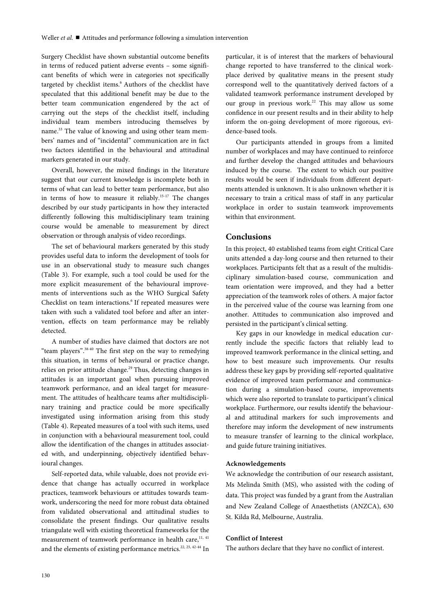Surgery Checklist have shown substantial outcome benefits in terms of reduced patient adverse events – some significant benefits of which were in categories not specifically targeted by checklist items.<sup>6</sup> Authors of the checklist have speculated that this additional benefit may be due to the better team communication engendered by the act of carrying out the steps of the checklist itself, including individual team members introducing themselves by name.<sup>33</sup> The value of knowing and using other team members' names and of "incidental" communication are in fact two factors identified in the behavioural and attitudinal markers generated in our study.

Overall, however, the mixed findings in the literature suggest that our current knowledge is incomplete both in terms of what can lead to better team performance, but also in terms of how to measure it reliably.15-17 The changes described by our study participants in how they interacted differently following this multidisciplinary team training course would be amenable to measurement by direct observation or through analysis of video recordings.

The set of behavioural markers generated by this study provides useful data to inform the development of tools for use in an observational study to measure such changes (Table 3). For example, such a tool could be used for the more explicit measurement of the behavioural improvements of interventions such as the WHO Surgical Safety Checklist on team interactions.<sup>6</sup> If repeated measures were taken with such a validated tool before and after an intervention, effects on team performance may be reliably detected.

A number of studies have claimed that doctors are not "team players".<sup>38-40</sup> The first step on the way to remedying this situation, in terms of behavioural or practice change, relies on prior attitude change.<sup>29</sup> Thus, detecting changes in attitudes is an important goal when pursuing improved teamwork performance, and an ideal target for measurement. The attitudes of healthcare teams after multidisciplinary training and practice could be more specifically investigated using information arising from this study (Table 4). Repeated measures of a tool with such items, used in conjunction with a behavioural measurement tool, could allow the identification of the changes in attitudes associated with, and underpinning, objectively identified behavioural changes.

Self-reported data, while valuable, does not provide evidence that change has actually occurred in workplace practices, teamwork behaviours or attitudes towards teamwork, underscoring the need for more robust data obtained from validated observational and attitudinal studies to consolidate the present findings. Our qualitative results triangulate well with existing theoretical frameworks for the measurement of teamwork performance in health care, $^{11, 41}$ and the elements of existing performance metrics.<sup>22, 25, 42-44</sup> In

particular, it is of interest that the markers of behavioural change reported to have transferred to the clinical workplace derived by qualitative means in the present study correspond well to the quantitatively derived factors of a validated teamwork performance instrument developed by our group in previous work.<sup>22</sup> This may allow us some confidence in our present results and in their ability to help inform the on-going development of more rigorous, evidence-based tools.

Our participants attended in groups from a limited number of workplaces and may have continued to reinforce and further develop the changed attitudes and behaviours induced by the course. The extent to which our positive results would be seen if individuals from different departments attended is unknown. It is also unknown whether it is necessary to train a critical mass of staff in any particular workplace in order to sustain teamwork improvements within that environment.

# **Conclusions**

In this project, 40 established teams from eight Critical Care units attended a day-long course and then returned to their workplaces. Participants felt that as a result of the multidisciplinary simulation-based course, communication and team orientation were improved, and they had a better appreciation of the teamwork roles of others. A major factor in the perceived value of the course was learning from one another. Attitudes to communication also improved and persisted in the participant's clinical setting.

Key gaps in our knowledge in medical education currently include the specific factors that reliably lead to improved teamwork performance in the clinical setting, and how to best measure such improvements. Our results address these key gaps by providing self-reported qualitative evidence of improved team performance and communication during a simulation-based course, improvements which were also reported to translate to participant's clinical workplace. Furthermore, our results identify the behavioural and attitudinal markers for such improvements and therefore may inform the development of new instruments to measure transfer of learning to the clinical workplace, and guide future training initiatives.

## **Acknowledgements**

We acknowledge the contribution of our research assistant, Ms Melinda Smith (MS), who assisted with the coding of data. This project was funded by a grant from the Australian and New Zealand College of Anaesthetists (ANZCA), 630 St. Kilda Rd, Melbourne, Australia.

## **Conflict of Interest**

The authors declare that they have no conflict of interest.